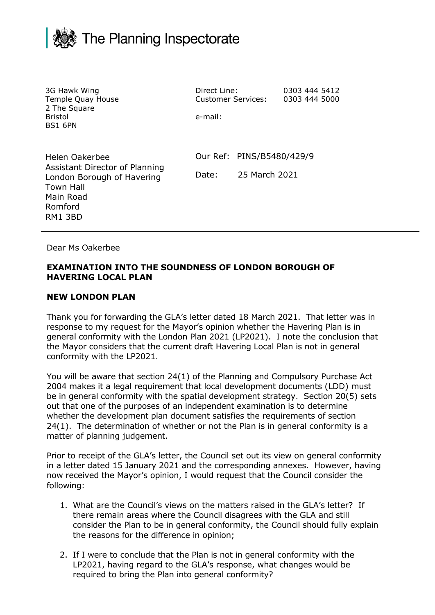## The Planning Inspectorate

| 3G Hawk Wing<br>Temple Quay House<br>2 The Square<br><b>Bristol</b><br><b>BS1 6PN</b>                                                 | Direct Line:<br><b>Customer Services:</b><br>e-mail: |                                            | 0303 444 5412<br>0303 444 5000 |  |
|---------------------------------------------------------------------------------------------------------------------------------------|------------------------------------------------------|--------------------------------------------|--------------------------------|--|
| Helen Oakerbee<br>Assistant Director of Planning<br>London Borough of Havering<br><b>Town Hall</b><br>Main Road<br>Romford<br>RM1 3BD | Date:                                                | Our Ref: PINS/B5480/429/9<br>25 March 2021 |                                |  |

Dear Ms Oakerbee

## **EXAMINATION INTO THE SOUNDNESS OF LONDON BOROUGH OF HAVERING LOCAL PLAN**

## **NEW LONDON PLAN**

Thank you for forwarding the GLA's letter dated 18 March 2021. That letter was in response to my request for the Mayor's opinion whether the Havering Plan is in general conformity with the London Plan 2021 (LP2021). I note the conclusion that the Mayor considers that the current draft Havering Local Plan is not in general conformity with the LP2021.

You will be aware that section 24(1) of the Planning and Compulsory Purchase Act 2004 makes it a legal requirement that local development documents (LDD) must be in general conformity with the spatial development strategy. Section 20(5) sets out that one of the purposes of an independent examination is to determine whether the development plan document satisfies the requirements of section 24(1). The determination of whether or not the Plan is in general conformity is a matter of planning judgement.

Prior to receipt of the GLA's letter, the Council set out its view on general conformity in a letter dated 15 January 2021 and the corresponding annexes. However, having now received the Mayor's opinion, I would request that the Council consider the following:

- 1. What are the Council's views on the matters raised in the GLA's letter? If there remain areas where the Council disagrees with the GLA and still consider the Plan to be in general conformity, the Council should fully explain the reasons for the difference in opinion;
- 2. If I were to conclude that the Plan is not in general conformity with the LP2021, having regard to the GLA's response, what changes would be required to bring the Plan into general conformity?